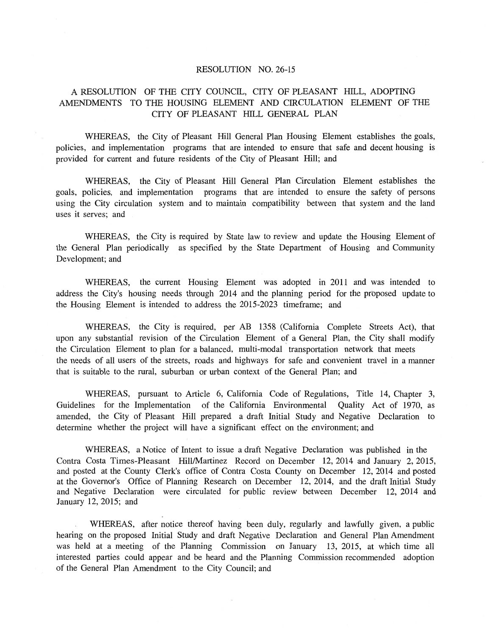## RESOLUTION NO. 26-15

# A RESOLUTION OF THE CITY COUNCIL, CITY OF PLEASANT HILL, ADOPTING AMENDMENTS TO THE HOUSING ELEMENT AND CIRCULATION ELEMENT OF THE CITY OF PLEASANT HILL GENERAL PLAN

WHEREAS, the City of Pleasant Hill General Plan Housing Element establishes the goals, policies, and implementation programs that are intended to ensure that safe and decent housing is provided for current and future residents of the City of Pleasant Hill; and

WHEREAS, the City of Pleasant Hill General Plan Circulation Element establishes the goals, policies, and implementation programs that are intended to ensure the safety of persons using the City circulation system and to maintain compatibility between that system and the land uses it serves; and

WHEREAS, the City is required by State law to review and update the Housing Element of the General Plan periodically as specified by the State Department of Housing and Community Development; and

WHEREAS, the current Housing Element was adopted in 2011 and was intended to address the City's housing needs through 2014 and the planning period for the proposed update to the Housing Element is intended to address the 2015-2023 timeframe; and

WHEREAS, the City is required, per AB 1358 (California Complete Streets Act), that upon any substantial revision of the Circulation Element of a General Plan, the City shall modify the Circulation Element to plan for a balanced, multi-modal transportation network that meets the needs of all users of the streets, roads and highways for safe and convenient travel in a manner that is suitable to the rural, suburban or urban context of the General Plan; and

WHEREAS, pursuant to Article 6, California Code of Regulations, Title 14, Chapter 3, Guidelines for the Implementation of the California Environmental Quality Act of 1970, as amended, the City of Pleasant Hill prepared a draft Initial Study and Negative Declaration to determine whether the project will have a significant effect on the environment; and

WHEREAS, a Notice of Intent to issue a draft Negative Declaration was published in the Contra Costa Times-Pleasant Hill/Martinez Record on December 12, 2014 and January 2, 2015, and posted at the County Clerk's office of Contra Costa County on December 12, 2014 and posted at the Governor's Office of Planning Research on December 12, 2014, and the draft Initial Study and Negative Declaration were circulated for public review between December 12, 2014 and January 12, 2015; and

WHEREAS, after notice thereof having been duly, regularly and lawfully given, a public hearing on the proposed Initial Study and draft Negative Declaration and General Plan Amendment was held at a meeting of the Planning Commission on January 13, 2015, at which time all interested parties could appear and be heard and the Planning Commission recommended adoption of the General Plan Amendment to the City Council; and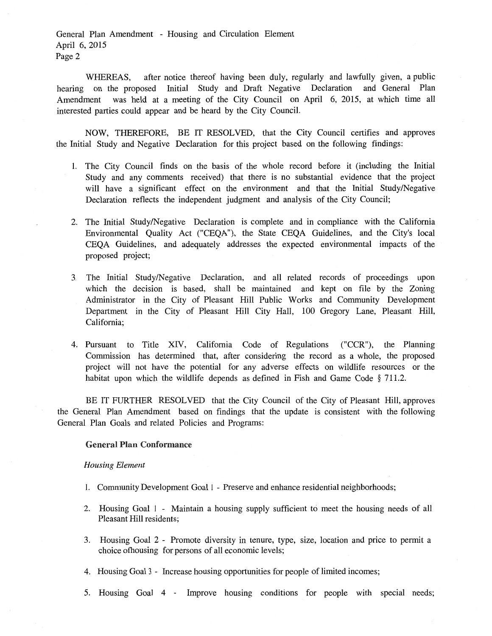WHEREAS, after notice thereof having been duly, regularly and lawfully given, a public hearing on the proposed Initial Study and Draft Negative Declaration and General Plan Amendment was held at a meeting of the City Council on April 6, 2015, at which time all interested parties could appear and be heard by the City Council.

NOW, THEREFORE, BE IT RESOLVED, that the City Council certifies and approves the Initial Study and Negative Declaration for this project based on the following findings:

- 1. The City Council finds on the basis of the whole record before it (including the Initial Study and any comments received) that there is no substantial evidence that the project will have a significant effect on the environment and that the Initial Study/Negative Declaration reflects the independent judgment and analysis of the City Council;
- 2. The Initial Study/Negative Declaration is complete and in compliance with the California Environmental Quality Act ("CEQA"), the State CEQA Guidelines, and the City's local CEQA Guidelines, and adequately addresses the expected environmental impacts of the proposed project;
- 3. The Initial Study/Negative Declaration, and all related records of proceedings upon which the decision is based, shall be maintained and kept on file by the Zoning Administrator in the City of Pleasant Hill Public Works and Community Development Department in the City of Pleasant Hill City Hall, 100 Gregory Lane, Pleasant Hill, California;
- 4. Pursuant to Title XIV, California Code of Regulations ("CCR"), the Planning Commission has determined that, after considering the record as a whole, the proposed project will not have the potential for any adverse effects on wildlife resources or the habitat upon which the wildlife depends as defined in Fish and Game Code § 711.2.

BE IT FURTHER RESOLVED that the City Council of the City of Pleasant Hill, approves the General Plan Amendment based on findings that the update is consistent with the following General Plan Goals and related Policies and Programs:

## **General Plan Conformance**

#### *Housing Element*

- 1. Community Development Goal I Preserve and enhance residential neighborhoods;
- 2. Housing Goal 1 Maintain a housing supply sufficient to meet the housing needs of all Pleasant Hill residents;
- 3. Housing Goal 2 Promote diversity in tenure, type, size, location and price to permit a choice otbousing for persons of all economic levels;
- 4. Housing Goal 3 Increase housing opportunities for people of limited incomes;
- 5. Housing Goal 4 Improve housing conditions for people with special needs;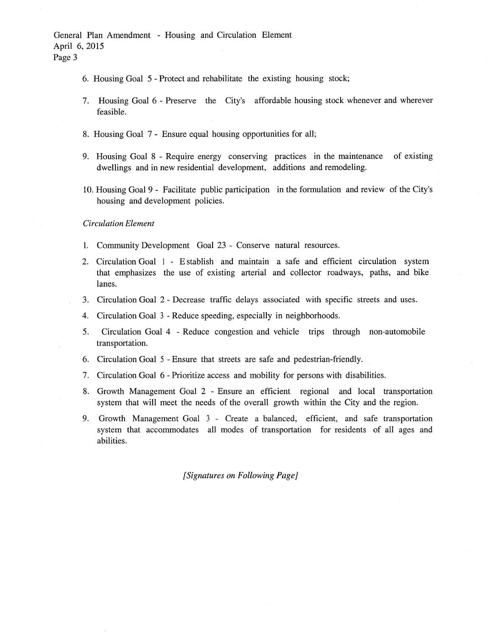- 6. Housing Goal 5 Protect and rehabilitate the existing housing stock;
- 7. Housing Goal 6 Preserve the City's affordable housing stock whenever and wherever feasible.
- 8. Housing Goal 7 Ensure equal housing opportunities for all;
- 9. Housing Goal 8 Require energy conserving practices in the maintenance of existing dwellings and in new residential development, additions and remodeling.
- 10. Housing Goal 9 Facilitate public participation in the formulation and review of the City's housing and development policies.

### *Circulation Element*

- 1. Community Development Goal 23 Conserve natural resources.
- 2. Circulation Goal 1 E stablish and maintain a safe and efficient circulation system that emphasizes the use of existing arterial and collector roadways, paths, and bike lanes.
- 3. Circulation Goal 2 Decrease traffic delays associated with specific streets and uses.
- 4. Circulation Goal 3 Reduce speeding, especially in neighborhoods.
- 5. Circulation Goal 4 Reduce congestion and vehicle trips through non-automobile transportation.
- 6. Circulation Goal 5 Ensure that streets are safe and pedestrian-friendly.
- 7. Circulation Goal 6 Prioritize access and mobility for persons with disabilities.
- 8. Growth Management Goal 2 Ensure an efficient regional and local transportation system that will meet the needs of the overall growth within the City and the region.
- 9. Growth Management Goal 3 Create a balanced, efficient, and safe transportation system that accommodates all modes of transportation for residents of all ages and abilities.

*[Signatures on Following Page]*